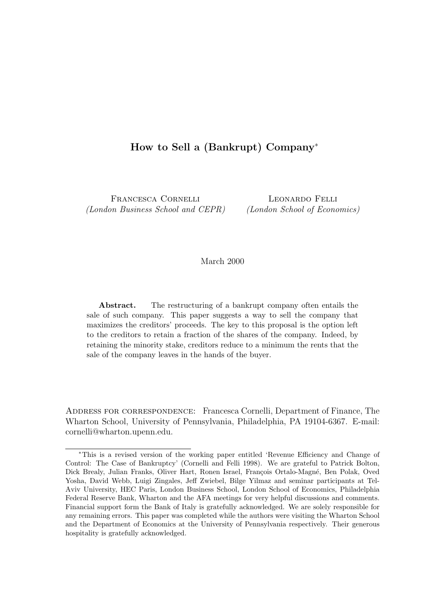# How to Sell a (Bankrupt) Company<sup>∗</sup>

Francesca Cornelli (London Business School and CEPR)

Leonardo Felli (London School of Economics)

# March 2000

Abstract. The restructuring of a bankrupt company often entails the sale of such company. This paper suggests a way to sell the company that maximizes the creditors' proceeds. The key to this proposal is the option left to the creditors to retain a fraction of the shares of the company. Indeed, by retaining the minority stake, creditors reduce to a minimum the rents that the sale of the company leaves in the hands of the buyer.

ADDRESS FOR CORRESPONDENCE: Francesca Cornelli, Department of Finance, The Wharton School, University of Pennsylvania, Philadelphia, PA 19104-6367. E-mail: cornelli@wharton.upenn.edu.

<sup>∗</sup>This is a revised version of the working paper entitled 'Revenue Efficiency and Change of Control: The Case of Bankruptcy' (Cornelli and Felli 1998). We are grateful to Patrick Bolton, Dick Brealy, Julian Franks, Oliver Hart, Ronen Israel, François Ortalo-Magné, Ben Polak, Oved Yosha, David Webb, Luigi Zingales, Jeff Zwiebel, Bilge Yilmaz and seminar participants at Tel-Aviv University, HEC Paris, London Business School, London School of Economics, Philadelphia Federal Reserve Bank, Wharton and the AFA meetings for very helpful discussions and comments. Financial support form the Bank of Italy is gratefully acknowledged. We are solely responsible for any remaining errors. This paper was completed while the authors were visiting the Wharton School and the Department of Economics at the University of Pennsylvania respectively. Their generous hospitality is gratefully acknowledged.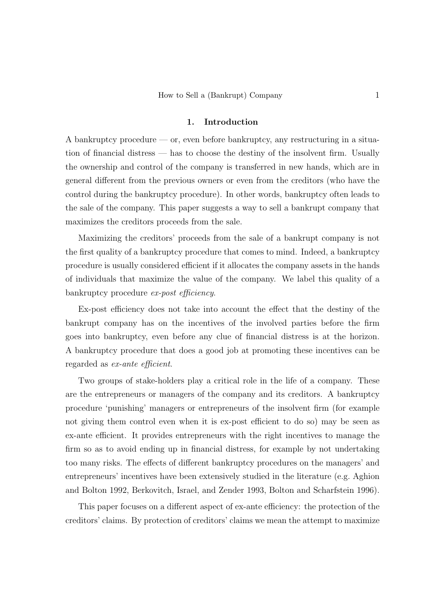### 1. Introduction

A bankruptcy procedure — or, even before bankruptcy, any restructuring in a situation of financial distress — has to choose the destiny of the insolvent firm. Usually the ownership and control of the company is transferred in new hands, which are in general different from the previous owners or even from the creditors (who have the control during the bankruptcy procedure). In other words, bankruptcy often leads to the sale of the company. This paper suggests a way to sell a bankrupt company that maximizes the creditors proceeds from the sale.

Maximizing the creditors' proceeds from the sale of a bankrupt company is not the first quality of a bankruptcy procedure that comes to mind. Indeed, a bankruptcy procedure is usually considered efficient if it allocates the company assets in the hands of individuals that maximize the value of the company. We label this quality of a bankruptcy procedure ex-post efficiency.

Ex-post efficiency does not take into account the effect that the destiny of the bankrupt company has on the incentives of the involved parties before the firm goes into bankruptcy, even before any clue of financial distress is at the horizon. A bankruptcy procedure that does a good job at promoting these incentives can be regarded as ex-ante efficient.

Two groups of stake-holders play a critical role in the life of a company. These are the entrepreneurs or managers of the company and its creditors. A bankruptcy procedure 'punishing' managers or entrepreneurs of the insolvent firm (for example not giving them control even when it is ex-post efficient to do so) may be seen as ex-ante efficient. It provides entrepreneurs with the right incentives to manage the firm so as to avoid ending up in financial distress, for example by not undertaking too many risks. The effects of different bankruptcy procedures on the managers' and entrepreneurs' incentives have been extensively studied in the literature (e.g. Aghion and Bolton 1992, Berkovitch, Israel, and Zender 1993, Bolton and Scharfstein 1996).

This paper focuses on a different aspect of ex-ante efficiency: the protection of the creditors' claims. By protection of creditors' claims we mean the attempt to maximize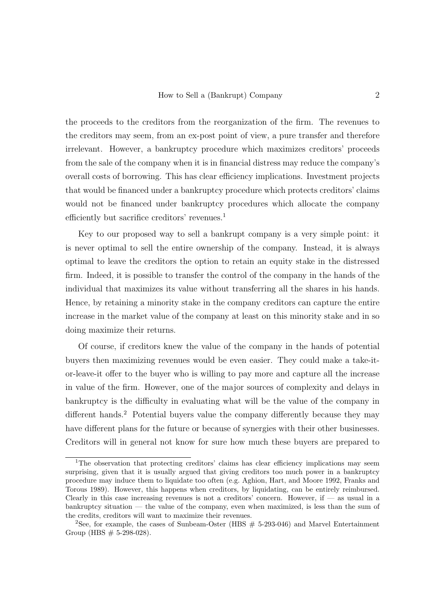the proceeds to the creditors from the reorganization of the firm. The revenues to the creditors may seem, from an ex-post point of view, a pure transfer and therefore irrelevant. However, a bankruptcy procedure which maximizes creditors' proceeds from the sale of the company when it is in financial distress may reduce the company's overall costs of borrowing. This has clear efficiency implications. Investment projects that would be financed under a bankruptcy procedure which protects creditors' claims would not be financed under bankruptcy procedures which allocate the company efficiently but sacrifice creditors' revenues.<sup>1</sup>

Key to our proposed way to sell a bankrupt company is a very simple point: it is never optimal to sell the entire ownership of the company. Instead, it is always optimal to leave the creditors the option to retain an equity stake in the distressed firm. Indeed, it is possible to transfer the control of the company in the hands of the individual that maximizes its value without transferring all the shares in his hands. Hence, by retaining a minority stake in the company creditors can capture the entire increase in the market value of the company at least on this minority stake and in so doing maximize their returns.

Of course, if creditors knew the value of the company in the hands of potential buyers then maximizing revenues would be even easier. They could make a take-itor-leave-it offer to the buyer who is willing to pay more and capture all the increase in value of the firm. However, one of the major sources of complexity and delays in bankruptcy is the difficulty in evaluating what will be the value of the company in different hands.<sup>2</sup> Potential buyers value the company differently because they may have different plans for the future or because of synergies with their other businesses. Creditors will in general not know for sure how much these buyers are prepared to

<sup>&</sup>lt;sup>1</sup>The observation that protecting creditors' claims has clear efficiency implications may seem surprising, given that it is usually argued that giving creditors too much power in a bankruptcy procedure may induce them to liquidate too often (e.g. Aghion, Hart, and Moore 1992, Franks and Torous 1989). However, this happens when creditors, by liquidating, can be entirely reimbursed. Clearly in this case increasing revenues is not a creditors' concern. However, if  $-$  as usual in a bankruptcy situation — the value of the company, even when maximized, is less than the sum of the credits, creditors will want to maximize their revenues.

<sup>&</sup>lt;sup>2</sup>See, for example, the cases of Sunbeam-Oster (HBS  $# 5-293-046$ ) and Marvel Entertainment Group (HBS  $# 5-298-028$ ).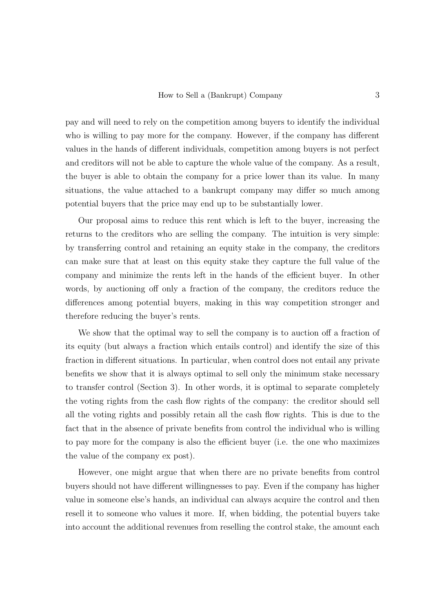pay and will need to rely on the competition among buyers to identify the individual who is willing to pay more for the company. However, if the company has different values in the hands of different individuals, competition among buyers is not perfect and creditors will not be able to capture the whole value of the company. As a result, the buyer is able to obtain the company for a price lower than its value. In many situations, the value attached to a bankrupt company may differ so much among potential buyers that the price may end up to be substantially lower.

Our proposal aims to reduce this rent which is left to the buyer, increasing the returns to the creditors who are selling the company. The intuition is very simple: by transferring control and retaining an equity stake in the company, the creditors can make sure that at least on this equity stake they capture the full value of the company and minimize the rents left in the hands of the efficient buyer. In other words, by auctioning off only a fraction of the company, the creditors reduce the differences among potential buyers, making in this way competition stronger and therefore reducing the buyer's rents.

We show that the optimal way to sell the company is to auction off a fraction of its equity (but always a fraction which entails control) and identify the size of this fraction in different situations. In particular, when control does not entail any private benefits we show that it is always optimal to sell only the minimum stake necessary to transfer control (Section 3). In other words, it is optimal to separate completely the voting rights from the cash flow rights of the company: the creditor should sell all the voting rights and possibly retain all the cash flow rights. This is due to the fact that in the absence of private benefits from control the individual who is willing to pay more for the company is also the efficient buyer (i.e. the one who maximizes the value of the company ex post).

However, one might argue that when there are no private benefits from control buyers should not have different willingnesses to pay. Even if the company has higher value in someone else's hands, an individual can always acquire the control and then resell it to someone who values it more. If, when bidding, the potential buyers take into account the additional revenues from reselling the control stake, the amount each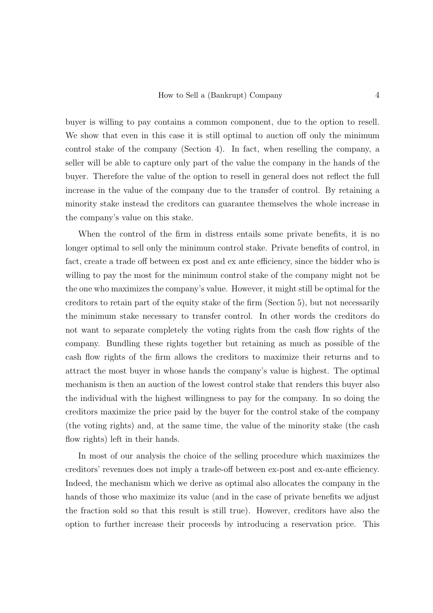buyer is willing to pay contains a common component, due to the option to resell. We show that even in this case it is still optimal to auction off only the minimum control stake of the company (Section 4). In fact, when reselling the company, a seller will be able to capture only part of the value the company in the hands of the buyer. Therefore the value of the option to resell in general does not reflect the full increase in the value of the company due to the transfer of control. By retaining a minority stake instead the creditors can guarantee themselves the whole increase in the company's value on this stake.

When the control of the firm in distress entails some private benefits, it is no longer optimal to sell only the minimum control stake. Private benefits of control, in fact, create a trade off between ex post and ex ante efficiency, since the bidder who is willing to pay the most for the minimum control stake of the company might not be the one who maximizes the company's value. However, it might still be optimal for the creditors to retain part of the equity stake of the firm (Section 5), but not necessarily the minimum stake necessary to transfer control. In other words the creditors do not want to separate completely the voting rights from the cash flow rights of the company. Bundling these rights together but retaining as much as possible of the cash flow rights of the firm allows the creditors to maximize their returns and to attract the most buyer in whose hands the company's value is highest. The optimal mechanism is then an auction of the lowest control stake that renders this buyer also the individual with the highest willingness to pay for the company. In so doing the creditors maximize the price paid by the buyer for the control stake of the company (the voting rights) and, at the same time, the value of the minority stake (the cash flow rights) left in their hands.

In most of our analysis the choice of the selling procedure which maximizes the creditors' revenues does not imply a trade-off between ex-post and ex-ante efficiency. Indeed, the mechanism which we derive as optimal also allocates the company in the hands of those who maximize its value (and in the case of private benefits we adjust the fraction sold so that this result is still true). However, creditors have also the option to further increase their proceeds by introducing a reservation price. This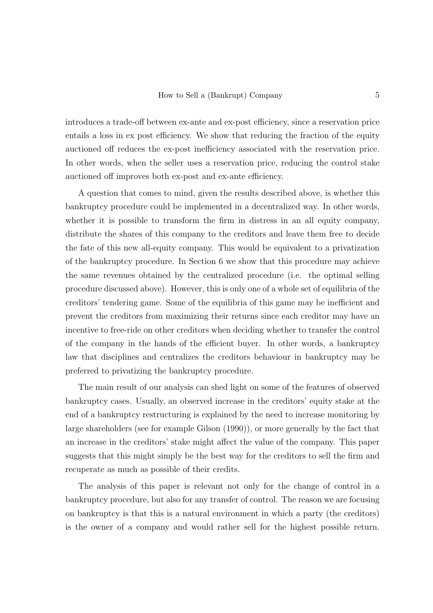introduces a trade-off between ex-ante and ex-post efficiency, since a reservation price entails a loss in ex post efficiency. We show that reducing the fraction of the equity auctioned off reduces the ex-post inefficiency associated with the reservation price. In other words, when the seller uses a reservation price, reducing the control stake auctioned off improves both ex-post and ex-ante efficiency.

A question that comes to mind, given the results described above, is whether this bankruptcy procedure could be implemented in a decentralized way. In other words, whether it is possible to transform the firm in distress in an all equity company, distribute the shares of this company to the creditors and leave them free to decide the fate of this new all-equity company. This would be equivalent to a privatization of the bankruptcy procedure. In Section 6 we show that this procedure may achieve the same revenues obtained by the centralized procedure (i.e. the optimal selling procedure discussed above). However, this is only one of a whole set of equilibria of the creditors' tendering game. Some of the equilibria of this game may be inefficient and prevent the creditors from maximizing their returns since each creditor may have an incentive to free-ride on other creditors when deciding whether to transfer the control of the company in the hands of the efficient buyer. In other words, a bankruptcy law that disciplines and centralizes the creditors behaviour in bankruptcy may be preferred to privatizing the bankruptcy procedure.

The main result of our analysis can shed light on some of the features of observed bankruptcy cases. Usually, an observed increase in the creditors' equity stake at the end of a bankruptcy restructuring is explained by the need to increase monitoring by large shareholders (see for example Gilson (1990)), or more generally by the fact that an increase in the creditors' stake might affect the value of the company. This paper suggests that this might simply be the best way for the creditors to sell the firm and recuperate as much as possible of their credits.

The analysis of this paper is relevant not only for the change of control in a bankruptcy procedure, but also for any transfer of control. The reason we are focusing on bankruptcy is that this is a natural environment in which a party (the creditors) is the owner of a company and would rather sell for the highest possible return.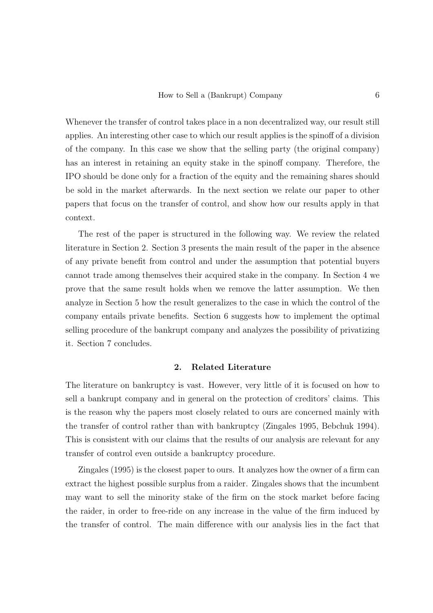Whenever the transfer of control takes place in a non decentralized way, our result still applies. An interesting other case to which our result applies is the spinoff of a division of the company. In this case we show that the selling party (the original company) has an interest in retaining an equity stake in the spinoff company. Therefore, the IPO should be done only for a fraction of the equity and the remaining shares should be sold in the market afterwards. In the next section we relate our paper to other papers that focus on the transfer of control, and show how our results apply in that context.

The rest of the paper is structured in the following way. We review the related literature in Section 2. Section 3 presents the main result of the paper in the absence of any private benefit from control and under the assumption that potential buyers cannot trade among themselves their acquired stake in the company. In Section 4 we prove that the same result holds when we remove the latter assumption. We then analyze in Section 5 how the result generalizes to the case in which the control of the company entails private benefits. Section 6 suggests how to implement the optimal selling procedure of the bankrupt company and analyzes the possibility of privatizing it. Section 7 concludes.

### 2. Related Literature

The literature on bankruptcy is vast. However, very little of it is focused on how to sell a bankrupt company and in general on the protection of creditors' claims. This is the reason why the papers most closely related to ours are concerned mainly with the transfer of control rather than with bankruptcy (Zingales 1995, Bebchuk 1994). This is consistent with our claims that the results of our analysis are relevant for any transfer of control even outside a bankruptcy procedure.

Zingales (1995) is the closest paper to ours. It analyzes how the owner of a firm can extract the highest possible surplus from a raider. Zingales shows that the incumbent may want to sell the minority stake of the firm on the stock market before facing the raider, in order to free-ride on any increase in the value of the firm induced by the transfer of control. The main difference with our analysis lies in the fact that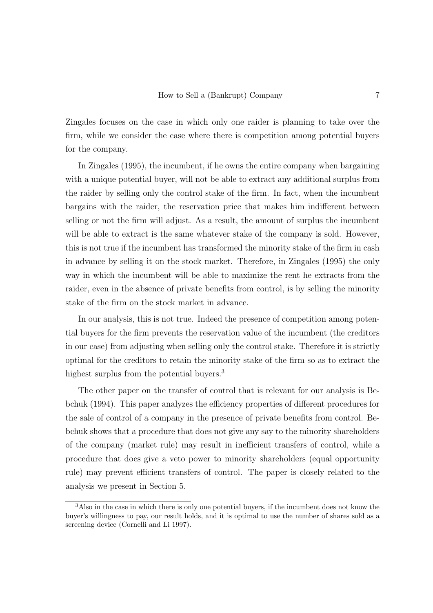Zingales focuses on the case in which only one raider is planning to take over the firm, while we consider the case where there is competition among potential buyers for the company.

In Zingales (1995), the incumbent, if he owns the entire company when bargaining with a unique potential buyer, will not be able to extract any additional surplus from the raider by selling only the control stake of the firm. In fact, when the incumbent bargains with the raider, the reservation price that makes him indifferent between selling or not the firm will adjust. As a result, the amount of surplus the incumbent will be able to extract is the same whatever stake of the company is sold. However, this is not true if the incumbent has transformed the minority stake of the firm in cash in advance by selling it on the stock market. Therefore, in Zingales (1995) the only way in which the incumbent will be able to maximize the rent he extracts from the raider, even in the absence of private benefits from control, is by selling the minority stake of the firm on the stock market in advance.

In our analysis, this is not true. Indeed the presence of competition among potential buyers for the firm prevents the reservation value of the incumbent (the creditors in our case) from adjusting when selling only the control stake. Therefore it is strictly optimal for the creditors to retain the minority stake of the firm so as to extract the highest surplus from the potential buyers.<sup>3</sup>

The other paper on the transfer of control that is relevant for our analysis is Bebchuk (1994). This paper analyzes the efficiency properties of different procedures for the sale of control of a company in the presence of private benefits from control. Bebchuk shows that a procedure that does not give any say to the minority shareholders of the company (market rule) may result in inefficient transfers of control, while a procedure that does give a veto power to minority shareholders (equal opportunity rule) may prevent efficient transfers of control. The paper is closely related to the analysis we present in Section 5.

<sup>3</sup>Also in the case in which there is only one potential buyers, if the incumbent does not know the buyer's willingness to pay, our result holds, and it is optimal to use the number of shares sold as a screening device (Cornelli and Li 1997).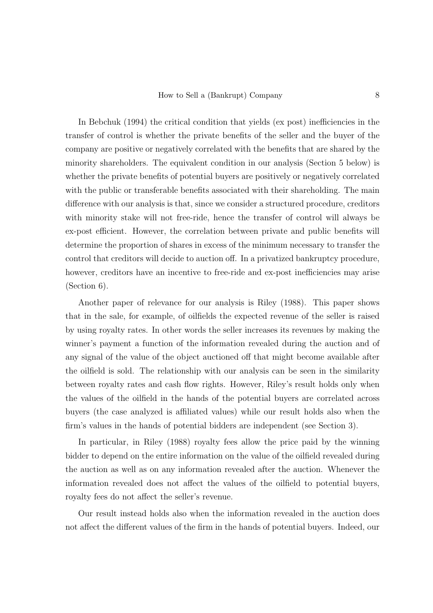In Bebchuk (1994) the critical condition that yields (ex post) inefficiencies in the transfer of control is whether the private benefits of the seller and the buyer of the company are positive or negatively correlated with the benefits that are shared by the minority shareholders. The equivalent condition in our analysis (Section 5 below) is whether the private benefits of potential buyers are positively or negatively correlated with the public or transferable benefits associated with their shareholding. The main difference with our analysis is that, since we consider a structured procedure, creditors with minority stake will not free-ride, hence the transfer of control will always be ex-post efficient. However, the correlation between private and public benefits will determine the proportion of shares in excess of the minimum necessary to transfer the control that creditors will decide to auction off. In a privatized bankruptcy procedure, however, creditors have an incentive to free-ride and ex-post inefficiencies may arise (Section 6).

Another paper of relevance for our analysis is Riley (1988). This paper shows that in the sale, for example, of oilfields the expected revenue of the seller is raised by using royalty rates. In other words the seller increases its revenues by making the winner's payment a function of the information revealed during the auction and of any signal of the value of the object auctioned off that might become available after the oilfield is sold. The relationship with our analysis can be seen in the similarity between royalty rates and cash flow rights. However, Riley's result holds only when the values of the oilfield in the hands of the potential buyers are correlated across buyers (the case analyzed is affiliated values) while our result holds also when the firm's values in the hands of potential bidders are independent (see Section 3).

In particular, in Riley (1988) royalty fees allow the price paid by the winning bidder to depend on the entire information on the value of the oilfield revealed during the auction as well as on any information revealed after the auction. Whenever the information revealed does not affect the values of the oilfield to potential buyers, royalty fees do not affect the seller's revenue.

Our result instead holds also when the information revealed in the auction does not affect the different values of the firm in the hands of potential buyers. Indeed, our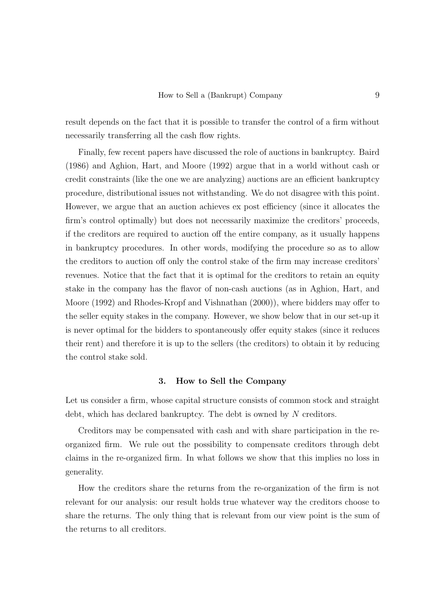result depends on the fact that it is possible to transfer the control of a firm without necessarily transferring all the cash flow rights.

Finally, few recent papers have discussed the role of auctions in bankruptcy. Baird (1986) and Aghion, Hart, and Moore (1992) argue that in a world without cash or credit constraints (like the one we are analyzing) auctions are an efficient bankruptcy procedure, distributional issues not withstanding. We do not disagree with this point. However, we argue that an auction achieves ex post efficiency (since it allocates the firm's control optimally) but does not necessarily maximize the creditors' proceeds, if the creditors are required to auction off the entire company, as it usually happens in bankruptcy procedures. In other words, modifying the procedure so as to allow the creditors to auction off only the control stake of the firm may increase creditors' revenues. Notice that the fact that it is optimal for the creditors to retain an equity stake in the company has the flavor of non-cash auctions (as in Aghion, Hart, and Moore (1992) and Rhodes-Kropf and Vishnathan (2000)), where bidders may offer to the seller equity stakes in the company. However, we show below that in our set-up it is never optimal for the bidders to spontaneously offer equity stakes (since it reduces their rent) and therefore it is up to the sellers (the creditors) to obtain it by reducing the control stake sold.

#### 3. How to Sell the Company

Let us consider a firm, whose capital structure consists of common stock and straight debt, which has declared bankruptcy. The debt is owned by N creditors.

Creditors may be compensated with cash and with share participation in the reorganized firm. We rule out the possibility to compensate creditors through debt claims in the re-organized firm. In what follows we show that this implies no loss in generality.

How the creditors share the returns from the re-organization of the firm is not relevant for our analysis: our result holds true whatever way the creditors choose to share the returns. The only thing that is relevant from our view point is the sum of the returns to all creditors.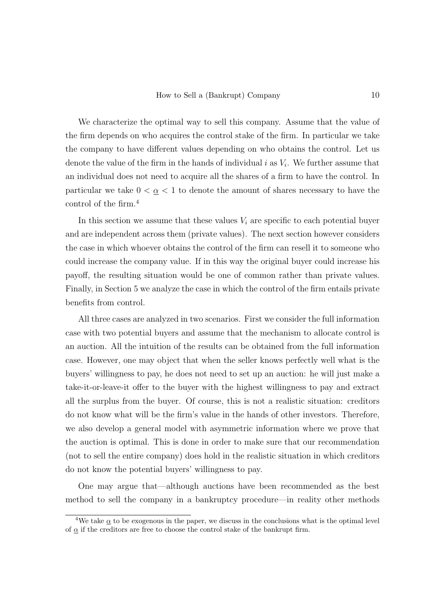We characterize the optimal way to sell this company. Assume that the value of the firm depends on who acquires the control stake of the firm. In particular we take the company to have different values depending on who obtains the control. Let us denote the value of the firm in the hands of individual  $i$  as  $V_i$ . We further assume that an individual does not need to acquire all the shares of a firm to have the control. In particular we take  $0 < \underline{\alpha} < 1$  to denote the amount of shares necessary to have the control of the firm.<sup>4</sup>

In this section we assume that these values  $V_i$  are specific to each potential buyer and are independent across them (private values). The next section however considers the case in which whoever obtains the control of the firm can resell it to someone who could increase the company value. If in this way the original buyer could increase his payoff, the resulting situation would be one of common rather than private values. Finally, in Section 5 we analyze the case in which the control of the firm entails private benefits from control.

All three cases are analyzed in two scenarios. First we consider the full information case with two potential buyers and assume that the mechanism to allocate control is an auction. All the intuition of the results can be obtained from the full information case. However, one may object that when the seller knows perfectly well what is the buyers' willingness to pay, he does not need to set up an auction: he will just make a take-it-or-leave-it offer to the buyer with the highest willingness to pay and extract all the surplus from the buyer. Of course, this is not a realistic situation: creditors do not know what will be the firm's value in the hands of other investors. Therefore, we also develop a general model with asymmetric information where we prove that the auction is optimal. This is done in order to make sure that our recommendation (not to sell the entire company) does hold in the realistic situation in which creditors do not know the potential buyers' willingness to pay.

One may argue that—although auctions have been recommended as the best method to sell the company in a bankruptcy procedure—in reality other methods

<sup>&</sup>lt;sup>4</sup>We take  $\alpha$  to be exogenous in the paper, we discuss in the conclusions what is the optimal level of  $\alpha$  if the creditors are free to choose the control stake of the bankrupt firm.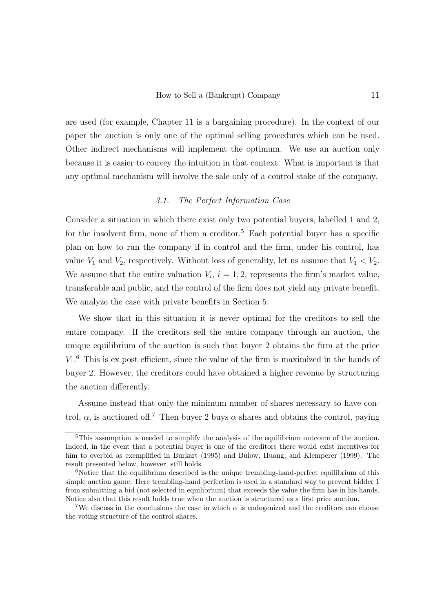are used (for example, Chapter 11 is a bargaining procedure). In the context of our paper the auction is only one of the optimal selling procedures which can be used. Other indirect mechanisms will implement the optimum. We use an auction only because it is easier to convey the intuition in that context. What is important is that any optimal mechanism will involve the sale only of a control stake of the company.

## 3.1. The Perfect Information Case

Consider a situation in which there exist only two potential buyers, labelled 1 and 2, for the insolvent firm, none of them a creditor.<sup>5</sup> Each potential buyer has a specific plan on how to run the company if in control and the firm, under his control, has value  $V_1$  and  $V_2$ , respectively. Without loss of generality, let us assume that  $V_1 < V_2$ . We assume that the entire valuation  $V_i$ ,  $i = 1, 2$ , represents the firm's market value, transferable and public, and the control of the firm does not yield any private benefit. We analyze the case with private benefits in Section 5.

We show that in this situation it is never optimal for the creditors to sell the entire company. If the creditors sell the entire company through an auction, the unique equilibrium of the auction is such that buyer 2 obtains the firm at the price  $V_1$ <sup>.6</sup> This is ex post efficient, since the value of the firm is maximized in the hands of buyer 2. However, the creditors could have obtained a higher revenue by structuring the auction differently.

Assume instead that only the minimum number of shares necessary to have control,  $\alpha$ , is auctioned off.<sup>7</sup> Then buyer 2 buys  $\alpha$  shares and obtains the control, paying

<sup>&</sup>lt;sup>5</sup>This assumption is needed to simplify the analysis of the equilibrium outcome of the auction. Indeed, in the event that a potential buyer is one of the creditors there would exist incentives for him to overbid as exemplified in Burkart (1995) and Bulow, Huang, and Klemperer (1999). The result presented below, however, still holds.

 $6$ Notice that the equilibrium described is the unique trembling-hand-perfect equilibrium of this simple auction game. Here trembling-hand perfection is used in a standard way to prevent bidder 1 from submitting a bid (not selected in equilibrium) that exceeds the value the firm has in his hands. Notice also that this result holds true when the auction is structured as a first price auction.

<sup>&</sup>lt;sup>7</sup>We discuss in the conclusions the case in which  $\alpha$  is endogenized and the creditors can choose the voting structure of the control shares.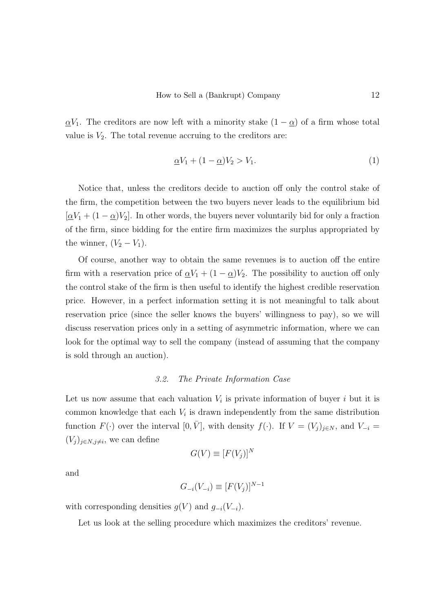$\underline{\alpha}V_1$ . The creditors are now left with a minority stake  $(1 - \underline{\alpha})$  of a firm whose total value is  $V_2$ . The total revenue accruing to the creditors are:

$$
\underline{\alpha}V_1 + (1 - \underline{\alpha})V_2 > V_1. \tag{1}
$$

Notice that, unless the creditors decide to auction off only the control stake of the firm, the competition between the two buyers never leads to the equilibrium bid  $[\underline{\alpha}V_1 + (1 - \underline{\alpha})V_2]$ . In other words, the buyers never voluntarily bid for only a fraction of the firm, since bidding for the entire firm maximizes the surplus appropriated by the winner,  $(V_2 - V_1)$ .

Of course, another way to obtain the same revenues is to auction off the entire firm with a reservation price of  $\alpha V_1 + (1 - \alpha)V_2$ . The possibility to auction off only the control stake of the firm is then useful to identify the highest credible reservation price. However, in a perfect information setting it is not meaningful to talk about reservation price (since the seller knows the buyers' willingness to pay), so we will discuss reservation prices only in a setting of asymmetric information, where we can look for the optimal way to sell the company (instead of assuming that the company is sold through an auction).

# 3.2. The Private Information Case

Let us now assume that each valuation  $V_i$  is private information of buyer i but it is common knowledge that each  $V_i$  is drawn independently from the same distribution function  $F(\cdot)$  over the interval  $[0, \overline{V}]$ , with density  $f(\cdot)$ . If  $V = (V_j)_{j \in N}$ , and  $V_{-i}$  $(V_j)_{j\in N, j\neq i}$ , we can define

$$
G(V) \equiv [F(V_j)]^N
$$

and

$$
G_{-i}(V_{-i}) \equiv [F(V_j)]^{N-1}
$$

with corresponding densities  $g(V)$  and  $g_{-i}(V_{-i})$ .

Let us look at the selling procedure which maximizes the creditors' revenue.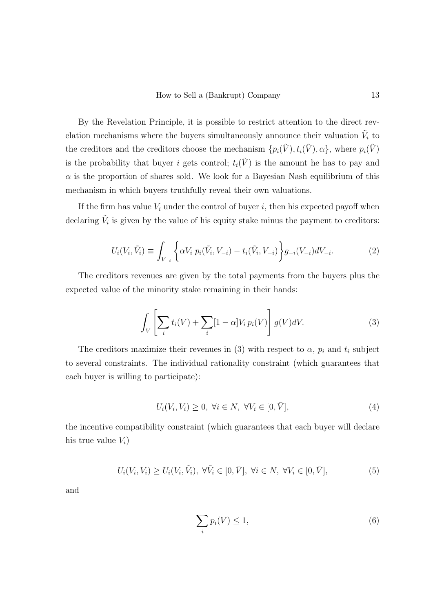By the Revelation Principle, it is possible to restrict attention to the direct revelation mechanisms where the buyers simultaneously announce their valuation  $\tilde{V}_i$  to the creditors and the creditors choose the mechanism  $\{p_i(\tilde{V}), t_i(\tilde{V}), \alpha\}$ , where  $p_i(\tilde{V})$ is the probability that buyer i gets control;  $t_i(\tilde{V})$  is the amount he has to pay and  $\alpha$  is the proportion of shares sold. We look for a Bayesian Nash equilibrium of this mechanism in which buyers truthfully reveal their own valuations.

If the firm has value  $V_i$  under the control of buyer i, then his expected payoff when declaring  $\tilde{V}_i$  is given by the value of his equity stake minus the payment to creditors:

$$
U_i(V_i, \tilde{V}_i) \equiv \int_{V_{-i}} \left\{ \alpha V_i \ p_i(\tilde{V}_i, V_{-i}) - t_i(\tilde{V}_i, V_{-i}) \right\} g_{-i}(V_{-i}) dV_{-i}.
$$
 (2)

The creditors revenues are given by the total payments from the buyers plus the expected value of the minority stake remaining in their hands:

$$
\int_{V} \left[ \sum_{i} t_{i}(V) + \sum_{i} [1 - \alpha] V_{i} p_{i}(V) \right] g(V) dV. \tag{3}
$$

The creditors maximize their revenues in (3) with respect to  $\alpha$ ,  $p_i$  and  $t_i$  subject to several constraints. The individual rationality constraint (which guarantees that each buyer is willing to participate):

$$
U_i(V_i, V_i) \ge 0, \ \forall i \in N, \ \forall V_i \in [0, \bar{V}], \tag{4}
$$

the incentive compatibility constraint (which guarantees that each buyer will declare his true value  $V_i$ )

$$
U_i(V_i, V_i) \ge U_i(V_i, \tilde{V}_i), \ \forall \tilde{V}_i \in [0, \bar{V}], \ \forall i \in N, \ \forall V_i \in [0, \bar{V}], \tag{5}
$$

and

$$
\sum_{i} p_i(V) \le 1,\tag{6}
$$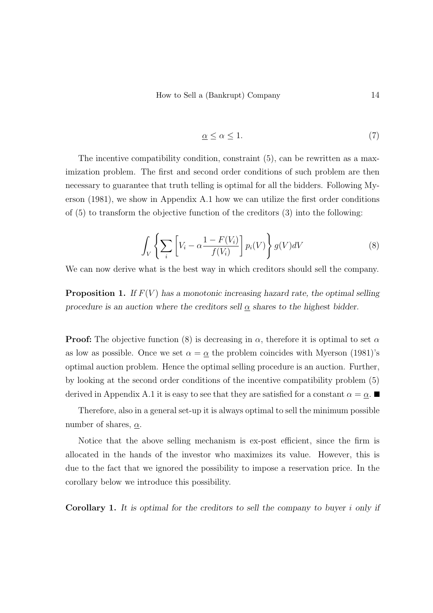$$
\underline{\alpha} \le \alpha \le 1. \tag{7}
$$

The incentive compatibility condition, constraint (5), can be rewritten as a maximization problem. The first and second order conditions of such problem are then necessary to guarantee that truth telling is optimal for all the bidders. Following Myerson (1981), we show in Appendix A.1 how we can utilize the first order conditions of  $(5)$  to transform the objective function of the creditors  $(3)$  into the following:

$$
\int_{V} \left\{ \sum_{i} \left[ V_i - \alpha \frac{1 - F(V_i)}{f(V_i)} \right] p_i(V) \right\} g(V) dV \tag{8}
$$

We can now derive what is the best way in which creditors should sell the company.

**Proposition 1.** If  $F(V)$  has a monotonic increasing hazard rate, the optimal selling procedure is an auction where the creditors sell  $\alpha$  shares to the highest bidder.

**Proof:** The objective function (8) is decreasing in  $\alpha$ , therefore it is optimal to set  $\alpha$ as low as possible. Once we set  $\alpha = \alpha$  the problem coincides with Myerson (1981)'s optimal auction problem. Hence the optimal selling procedure is an auction. Further, by looking at the second order conditions of the incentive compatibility problem (5) derived in Appendix A.1 it is easy to see that they are satisfied for a constant  $\alpha = \alpha$ .

Therefore, also in a general set-up it is always optimal to sell the minimum possible number of shares,  $\alpha$ .

Notice that the above selling mechanism is ex-post efficient, since the firm is allocated in the hands of the investor who maximizes its value. However, this is due to the fact that we ignored the possibility to impose a reservation price. In the corollary below we introduce this possibility.

Corollary 1. It is optimal for the creditors to sell the company to buyer i only if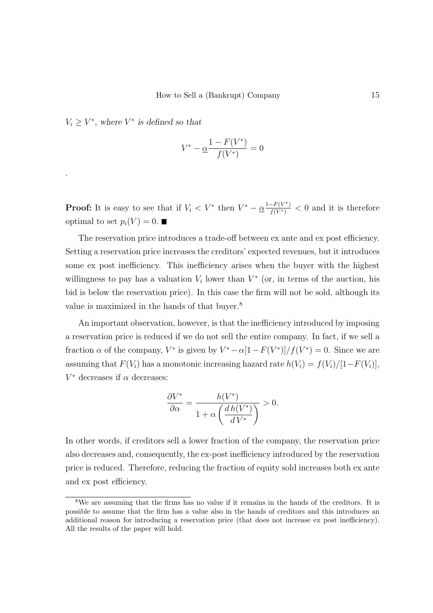$V_i \geq V^*$ , where  $V^*$  is defined so that

.

$$
V^* - \underline{\alpha} \frac{1 - F(V^*)}{f(V^*)} = 0
$$

**Proof:** It is easy to see that if  $V_i < V^*$  then  $V^* - \frac{\alpha^{1-F(V^*)}}{f(V^*)} < 0$  and it is therefore optimal to set  $p_i(V) = 0$ .

The reservation price introduces a trade-off between ex ante and ex post efficiency. Setting a reservation price increases the creditors' expected revenues, but it introduces some ex post inefficiency. This inefficiency arises when the buyer with the highest willingness to pay has a valuation  $V_i$  lower than  $V^*$  (or, in terms of the auction, his bid is below the reservation price). In this case the firm will not be sold, although its value is maximized in the hands of that buyer.<sup>8</sup>

An important observation, however, is that the inefficiency introduced by imposing a reservation price is reduced if we do not sell the entire company. In fact, if we sell a fraction  $\alpha$  of the company,  $V^*$  is given by  $V^* - \alpha[1 - F(V^*)]/f(V^*) = 0$ . Since we are assuming that  $F(V_i)$  has a monotonic increasing hazard rate  $h(V_i) = f(V_i)/[1-F(V_i)],$  $V^*$  decreases if  $\alpha$  decreases:

$$
\frac{\partial V^*}{\partial \alpha} = \frac{h(V^*)}{1 + \alpha \left(\frac{d h(V^*)}{d V^*}\right)} > 0.
$$

In other words, if creditors sell a lower fraction of the company, the reservation price also decreases and, consequently, the ex-post inefficiency introduced by the reservation price is reduced. Therefore, reducing the fraction of equity sold increases both ex ante and ex post efficiency.

<sup>8</sup>We are assuming that the firms has no value if it remains in the hands of the creditors. It is possible to assume that the firm has a value also in the hands of creditors and this introduces an additional reason for introducing a reservation price (that does not increase ex post inefficiency). All the results of the paper will hold.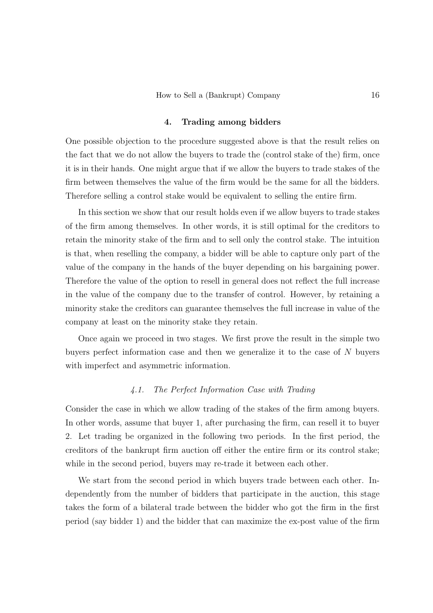### 4. Trading among bidders

One possible objection to the procedure suggested above is that the result relies on the fact that we do not allow the buyers to trade the (control stake of the) firm, once it is in their hands. One might argue that if we allow the buyers to trade stakes of the firm between themselves the value of the firm would be the same for all the bidders. Therefore selling a control stake would be equivalent to selling the entire firm.

In this section we show that our result holds even if we allow buyers to trade stakes of the firm among themselves. In other words, it is still optimal for the creditors to retain the minority stake of the firm and to sell only the control stake. The intuition is that, when reselling the company, a bidder will be able to capture only part of the value of the company in the hands of the buyer depending on his bargaining power. Therefore the value of the option to resell in general does not reflect the full increase in the value of the company due to the transfer of control. However, by retaining a minority stake the creditors can guarantee themselves the full increase in value of the company at least on the minority stake they retain.

Once again we proceed in two stages. We first prove the result in the simple two buyers perfect information case and then we generalize it to the case of N buyers with imperfect and asymmetric information.

# 4.1. The Perfect Information Case with Trading

Consider the case in which we allow trading of the stakes of the firm among buyers. In other words, assume that buyer 1, after purchasing the firm, can resell it to buyer 2. Let trading be organized in the following two periods. In the first period, the creditors of the bankrupt firm auction off either the entire firm or its control stake; while in the second period, buyers may re-trade it between each other.

We start from the second period in which buyers trade between each other. Independently from the number of bidders that participate in the auction, this stage takes the form of a bilateral trade between the bidder who got the firm in the first period (say bidder 1) and the bidder that can maximize the ex-post value of the firm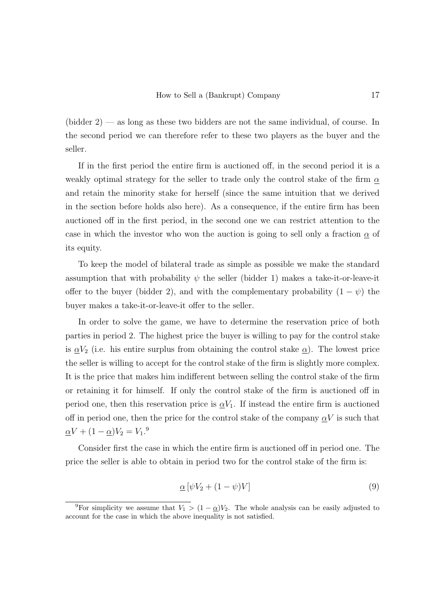$(\text{bidden 2})$  — as long as these two bidders are not the same individual, of course. In the second period we can therefore refer to these two players as the buyer and the seller.

If in the first period the entire firm is auctioned off, in the second period it is a weakly optimal strategy for the seller to trade only the control stake of the firm  $\alpha$ and retain the minority stake for herself (since the same intuition that we derived in the section before holds also here). As a consequence, if the entire firm has been auctioned off in the first period, in the second one we can restrict attention to the case in which the investor who won the auction is going to sell only a fraction  $\alpha$  of its equity.

To keep the model of bilateral trade as simple as possible we make the standard assumption that with probability  $\psi$  the seller (bidder 1) makes a take-it-or-leave-it offer to the buyer (bidder 2), and with the complementary probability  $(1 - \psi)$  the buyer makes a take-it-or-leave-it offer to the seller.

In order to solve the game, we have to determine the reservation price of both parties in period 2. The highest price the buyer is willing to pay for the control stake is  $\alpha V_2$  (i.e. his entire surplus from obtaining the control stake  $\alpha$ ). The lowest price the seller is willing to accept for the control stake of the firm is slightly more complex. It is the price that makes him indifferent between selling the control stake of the firm or retaining it for himself. If only the control stake of the firm is auctioned off in period one, then this reservation price is  $\alpha V_1$ . If instead the entire firm is auctioned off in period one, then the price for the control stake of the company  $\alpha V$  is such that  $\underline{\alpha}V + (1 - \underline{\alpha})V_2 = V_1$ .<sup>9</sup>

Consider first the case in which the entire firm is auctioned off in period one. The price the seller is able to obtain in period two for the control stake of the firm is:

$$
\underline{\alpha} \left[ \psi V_2 + (1 - \psi)V \right] \tag{9}
$$

<sup>&</sup>lt;sup>9</sup>For simplicity we assume that  $V_1 > (1 - \alpha)V_2$ . The whole analysis can be easily adjusted to account for the case in which the above inequality is not satisfied.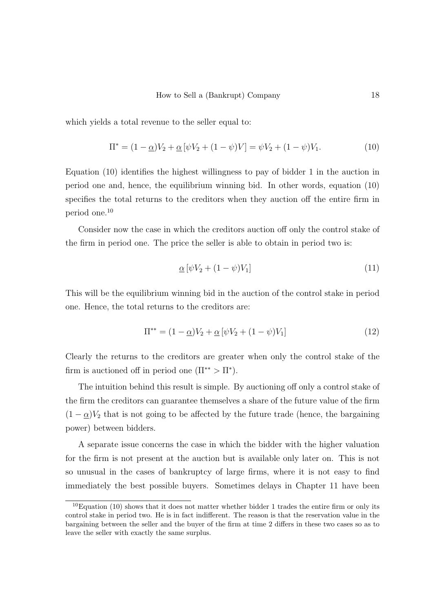which yields a total revenue to the seller equal to:

$$
\Pi^* = (1 - \underline{\alpha})V_2 + \underline{\alpha}[\psi V_2 + (1 - \psi)V] = \psi V_2 + (1 - \psi)V_1.
$$
\n(10)

Equation (10) identifies the highest willingness to pay of bidder 1 in the auction in period one and, hence, the equilibrium winning bid. In other words, equation (10) specifies the total returns to the creditors when they auction off the entire firm in period one.<sup>10</sup>

Consider now the case in which the creditors auction off only the control stake of the firm in period one. The price the seller is able to obtain in period two is:

$$
\underline{\alpha} \left[ \psi V_2 + (1 - \psi) V_1 \right] \tag{11}
$$

This will be the equilibrium winning bid in the auction of the control stake in period one. Hence, the total returns to the creditors are:

$$
\Pi^{**} = (1 - \underline{\alpha})V_2 + \underline{\alpha}[\psi V_2 + (1 - \psi)V_1]
$$
\n(12)

Clearly the returns to the creditors are greater when only the control stake of the firm is auctioned off in period one  $(\Pi^{**} > \Pi^*)$ .

The intuition behind this result is simple. By auctioning off only a control stake of the firm the creditors can guarantee themselves a share of the future value of the firm  $(1 - \underline{\alpha})V_2$  that is not going to be affected by the future trade (hence, the bargaining power) between bidders.

A separate issue concerns the case in which the bidder with the higher valuation for the firm is not present at the auction but is available only later on. This is not so unusual in the cases of bankruptcy of large firms, where it is not easy to find immediately the best possible buyers. Sometimes delays in Chapter 11 have been

 $10$ Equation (10) shows that it does not matter whether bidder 1 trades the entire firm or only its control stake in period two. He is in fact indifferent. The reason is that the reservation value in the bargaining between the seller and the buyer of the firm at time 2 differs in these two cases so as to leave the seller with exactly the same surplus.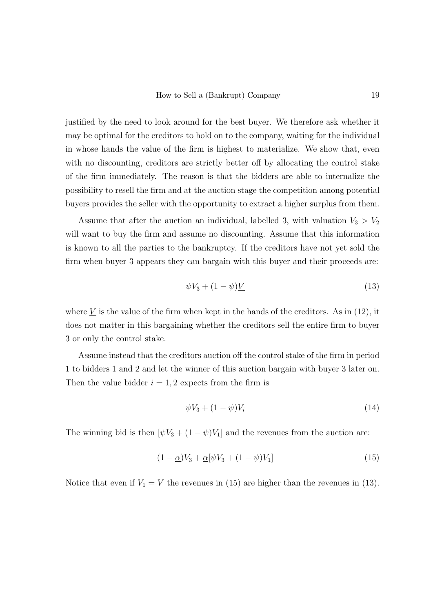justified by the need to look around for the best buyer. We therefore ask whether it may be optimal for the creditors to hold on to the company, waiting for the individual in whose hands the value of the firm is highest to materialize. We show that, even with no discounting, creditors are strictly better off by allocating the control stake of the firm immediately. The reason is that the bidders are able to internalize the possibility to resell the firm and at the auction stage the competition among potential buyers provides the seller with the opportunity to extract a higher surplus from them.

Assume that after the auction an individual, labelled 3, with valuation  $V_3 > V_2$ will want to buy the firm and assume no discounting. Assume that this information is known to all the parties to the bankruptcy. If the creditors have not yet sold the firm when buyer 3 appears they can bargain with this buyer and their proceeds are:

$$
\psi V_3 + (1 - \psi) \underline{V} \tag{13}
$$

where  $\underline{V}$  is the value of the firm when kept in the hands of the creditors. As in (12), it does not matter in this bargaining whether the creditors sell the entire firm to buyer 3 or only the control stake.

Assume instead that the creditors auction off the control stake of the firm in period 1 to bidders 1 and 2 and let the winner of this auction bargain with buyer 3 later on. Then the value bidder  $i = 1, 2$  expects from the firm is

$$
\psi V_3 + (1 - \psi)V_i \tag{14}
$$

The winning bid is then  $[\psi V_3 + (1 - \psi) V_1]$  and the revenues from the auction are:

$$
(1 - \underline{\alpha})V_3 + \underline{\alpha}[\psi V_3 + (1 - \psi)V_1] \tag{15}
$$

Notice that even if  $V_1 = V$  the revenues in (15) are higher than the revenues in (13).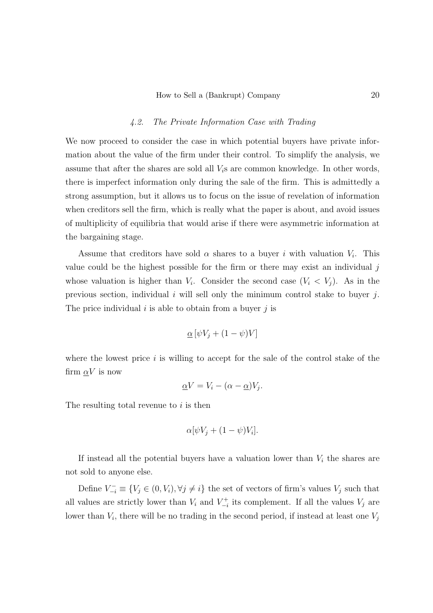### 4.2. The Private Information Case with Trading

We now proceed to consider the case in which potential buyers have private information about the value of the firm under their control. To simplify the analysis, we assume that after the shares are sold all  $V_i$ s are common knowledge. In other words, there is imperfect information only during the sale of the firm. This is admittedly a strong assumption, but it allows us to focus on the issue of revelation of information when creditors sell the firm, which is really what the paper is about, and avoid issues of multiplicity of equilibria that would arise if there were asymmetric information at the bargaining stage.

Assume that creditors have sold  $\alpha$  shares to a buyer i with valuation  $V_i$ . This value could be the highest possible for the firm or there may exist an individual  $j$ whose valuation is higher than  $V_i$ . Consider the second case  $(V_i < V_j)$ . As in the previous section, individual  $i$  will sell only the minimum control stake to buyer  $j$ . The price individual  $i$  is able to obtain from a buyer  $j$  is

$$
\underline{\alpha} \left[ \psi V_j + (1 - \psi)V \right]
$$

where the lowest price i is willing to accept for the sale of the control stake of the firm  $\alpha V$  is now

$$
\underline{\alpha}V = V_i - (\alpha - \underline{\alpha})V_j.
$$

The resulting total revenue to  $i$  is then

$$
\alpha[\psi V_j + (1 - \psi)V_i].
$$

If instead all the potential buyers have a valuation lower than  $V_i$  the shares are not sold to anyone else.

Define  $V_{-i}^- \equiv \{V_j \in (0, V_i), \forall j \neq i\}$  the set of vectors of firm's values  $V_j$  such that all values are strictly lower than  $V_i$  and  $V_{-i}^+$  its complement. If all the values  $V_j$  are lower than  $V_i$ , there will be no trading in the second period, if instead at least one  $V_j$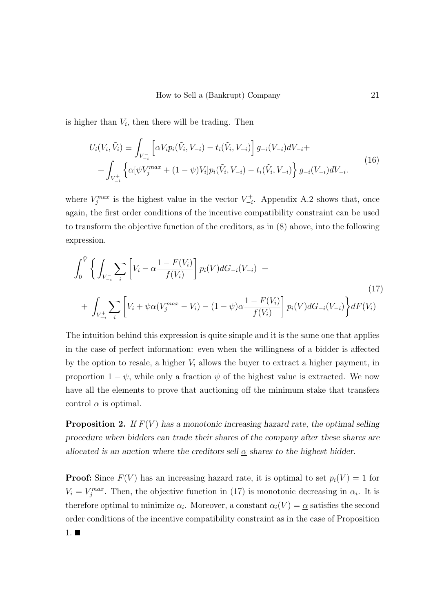is higher than  $V_i$ , then there will be trading. Then

$$
U_i(V_i, \tilde{V}_i) \equiv \int_{V_{-i}^-} \left[ \alpha V_i p_i(\tilde{V}_i, V_{-i}) - t_i(\tilde{V}_i, V_{-i}) \right] g_{-i}(V_{-i}) dV_{-i} + + \int_{V_{-i}^+} \left\{ \alpha [\psi V_j^{max} + (1 - \psi) V_i] p_i(\tilde{V}_i, V_{-i}) - t_i(\tilde{V}_i, V_{-i}) \right\} g_{-i}(V_{-i}) dV_{-i}.
$$
\n(16)

where  $V_j^{max}$  is the highest value in the vector  $V_{-i}^+$ . Appendix A.2 shows that, once again, the first order conditions of the incentive compatibility constraint can be used to transform the objective function of the creditors, as in (8) above, into the following expression.

$$
\int_0^{\bar{V}} \left\{ \int_{V_{-i}^-} \sum_i \left[ V_i - \alpha \frac{1 - F(V_i)}{f(V_i)} \right] p_i(V) dG_{-i}(V_{-i}) + \int_{V_{-i}^+} \sum_i \left[ V_i + \psi \alpha (V_j^{max} - V_i) - (1 - \psi) \alpha \frac{1 - F(V_i)}{f(V_i)} \right] p_i(V) dG_{-i}(V_{-i}) \right\} dF(V_i)
$$
\n(17)

The intuition behind this expression is quite simple and it is the same one that applies in the case of perfect information: even when the willingness of a bidder is affected by the option to resale, a higher  $V_i$  allows the buyer to extract a higher payment, in proportion  $1 - \psi$ , while only a fraction  $\psi$  of the highest value is extracted. We now have all the elements to prove that auctioning off the minimum stake that transfers control  $\alpha$  is optimal.

**Proposition 2.** If  $F(V)$  has a monotonic increasing hazard rate, the optimal selling procedure when bidders can trade their shares of the company after these shares are allocated is an auction where the creditors sell  $\alpha$  shares to the highest bidder.

**Proof:** Since  $F(V)$  has an increasing hazard rate, it is optimal to set  $p_i(V) = 1$  for  $V_i = V_j^{max}$ . Then, the objective function in (17) is monotonic decreasing in  $\alpha_i$ . It is therefore optimal to minimize  $\alpha_i$ . Moreover, a constant  $\alpha_i(V) = \underline{\alpha}$  satisfies the second order conditions of the incentive compatibility constraint as in the case of Proposition  $1. \blacksquare$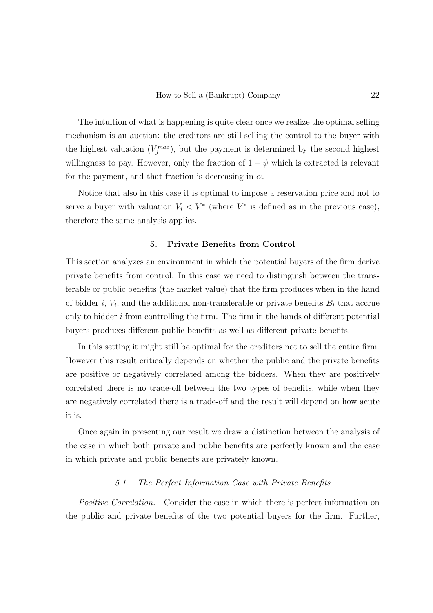The intuition of what is happening is quite clear once we realize the optimal selling mechanism is an auction: the creditors are still selling the control to the buyer with the highest valuation  $(V_j^{max})$ , but the payment is determined by the second highest willingness to pay. However, only the fraction of  $1 - \psi$  which is extracted is relevant for the payment, and that fraction is decreasing in  $\alpha$ .

Notice that also in this case it is optimal to impose a reservation price and not to serve a buyer with valuation  $V_i \langle V^* \rangle$  (where  $V^*$  is defined as in the previous case), therefore the same analysis applies.

### 5. Private Benefits from Control

This section analyzes an environment in which the potential buyers of the firm derive private benefits from control. In this case we need to distinguish between the transferable or public benefits (the market value) that the firm produces when in the hand of bidder *i*,  $V_i$ , and the additional non-transferable or private benefits  $B_i$  that accrue only to bidder  $i$  from controlling the firm. The firm in the hands of different potential buyers produces different public benefits as well as different private benefits.

In this setting it might still be optimal for the creditors not to sell the entire firm. However this result critically depends on whether the public and the private benefits are positive or negatively correlated among the bidders. When they are positively correlated there is no trade-off between the two types of benefits, while when they are negatively correlated there is a trade-off and the result will depend on how acute it is.

Once again in presenting our result we draw a distinction between the analysis of the case in which both private and public benefits are perfectly known and the case in which private and public benefits are privately known.

# 5.1. The Perfect Information Case with Private Benefits

Positive Correlation. Consider the case in which there is perfect information on the public and private benefits of the two potential buyers for the firm. Further,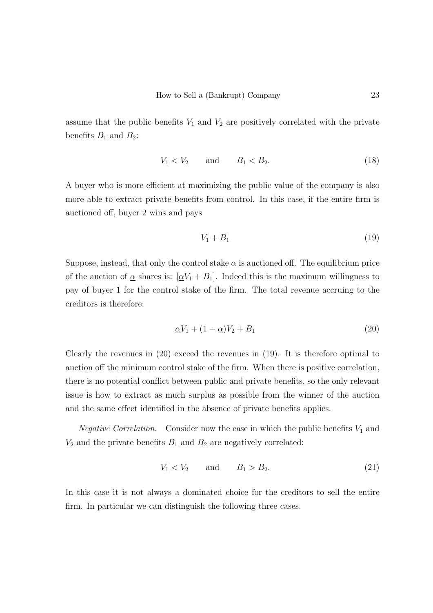assume that the public benefits  $V_1$  and  $V_2$  are positively correlated with the private benefits  $B_1$  and  $B_2$ :

$$
V_1 < V_2 \qquad \text{and} \qquad B_1 < B_2. \tag{18}
$$

A buyer who is more efficient at maximizing the public value of the company is also more able to extract private benefits from control. In this case, if the entire firm is auctioned off, buyer 2 wins and pays

$$
V_1 + B_1 \tag{19}
$$

Suppose, instead, that only the control stake  $\alpha$  is auctioned off. The equilibrium price of the auction of  $\alpha$  shares is:  $[\alpha V_1 + B_1]$ . Indeed this is the maximum willingness to pay of buyer 1 for the control stake of the firm. The total revenue accruing to the creditors is therefore:

$$
\underline{\alpha}V_1 + (1 - \underline{\alpha})V_2 + B_1 \tag{20}
$$

Clearly the revenues in (20) exceed the revenues in (19). It is therefore optimal to auction off the minimum control stake of the firm. When there is positive correlation, there is no potential conflict between public and private benefits, so the only relevant issue is how to extract as much surplus as possible from the winner of the auction and the same effect identified in the absence of private benefits applies.

*Negative Correlation.* Consider now the case in which the public benefits  $V_1$  and  $V_2$  and the private benefits  $B_1$  and  $B_2$  are negatively correlated:

$$
V_1 < V_2 \qquad \text{and} \qquad B_1 > B_2. \tag{21}
$$

In this case it is not always a dominated choice for the creditors to sell the entire firm. In particular we can distinguish the following three cases.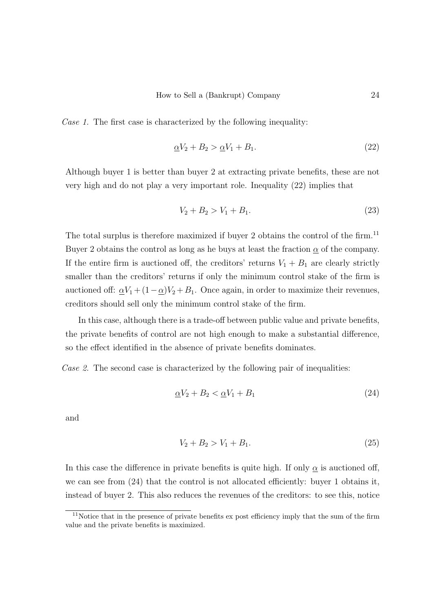Case 1. The first case is characterized by the following inequality:

$$
\underline{\alpha}V_2 + B_2 > \underline{\alpha}V_1 + B_1. \tag{22}
$$

Although buyer 1 is better than buyer 2 at extracting private benefits, these are not very high and do not play a very important role. Inequality (22) implies that

$$
V_2 + B_2 > V_1 + B_1. \tag{23}
$$

The total surplus is therefore maximized if buyer 2 obtains the control of the firm.<sup>11</sup> Buyer 2 obtains the control as long as he buys at least the fraction  $\alpha$  of the company. If the entire firm is auctioned off, the creditors' returns  $V_1 + B_1$  are clearly strictly smaller than the creditors' returns if only the minimum control stake of the firm is auctioned off:  $\alpha V_1 + (1 - \alpha)V_2 + B_1$ . Once again, in order to maximize their revenues, creditors should sell only the minimum control stake of the firm.

In this case, although there is a trade-off between public value and private benefits, the private benefits of control are not high enough to make a substantial difference, so the effect identified in the absence of private benefits dominates.

Case 2. The second case is characterized by the following pair of inequalities:

$$
\underline{\alpha}V_2 + B_2 < \underline{\alpha}V_1 + B_1 \tag{24}
$$

and

$$
V_2 + B_2 > V_1 + B_1. \tag{25}
$$

In this case the difference in private benefits is quite high. If only  $\alpha$  is auctioned off, we can see from (24) that the control is not allocated efficiently: buyer 1 obtains it, instead of buyer 2. This also reduces the revenues of the creditors: to see this, notice

 $11$ Notice that in the presence of private benefits ex post efficiency imply that the sum of the firm value and the private benefits is maximized.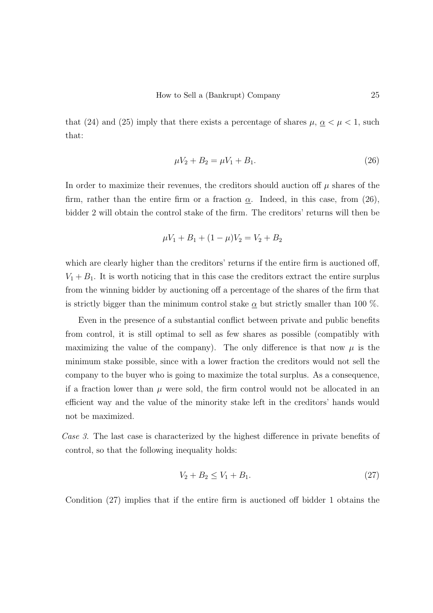that (24) and (25) imply that there exists a percentage of shares  $\mu$ ,  $\alpha < \mu < 1$ , such that:

$$
\mu V_2 + B_2 = \mu V_1 + B_1. \tag{26}
$$

In order to maximize their revenues, the creditors should auction off  $\mu$  shares of the firm, rather than the entire firm or a fraction  $\underline{\alpha}$ . Indeed, in this case, from (26), bidder 2 will obtain the control stake of the firm. The creditors' returns will then be

$$
\mu V_1 + B_1 + (1 - \mu)V_2 = V_2 + B_2
$$

which are clearly higher than the creditors' returns if the entire firm is auctioned off,  $V_1 + B_1$ . It is worth noticing that in this case the creditors extract the entire surplus from the winning bidder by auctioning off a percentage of the shares of the firm that is strictly bigger than the minimum control stake  $\alpha$  but strictly smaller than 100 %.

Even in the presence of a substantial conflict between private and public benefits from control, it is still optimal to sell as few shares as possible (compatibly with maximizing the value of the company). The only difference is that now  $\mu$  is the minimum stake possible, since with a lower fraction the creditors would not sell the company to the buyer who is going to maximize the total surplus. As a consequence, if a fraction lower than  $\mu$  were sold, the firm control would not be allocated in an efficient way and the value of the minority stake left in the creditors' hands would not be maximized.

Case 3. The last case is characterized by the highest difference in private benefits of control, so that the following inequality holds:

$$
V_2 + B_2 \le V_1 + B_1. \tag{27}
$$

Condition (27) implies that if the entire firm is auctioned off bidder 1 obtains the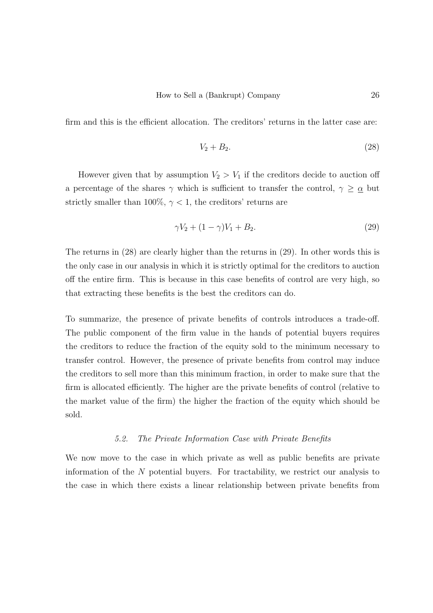firm and this is the efficient allocation. The creditors' returns in the latter case are:

$$
V_2 + B_2. \tag{28}
$$

However given that by assumption  $V_2 > V_1$  if the creditors decide to auction off a percentage of the shares  $\gamma$  which is sufficient to transfer the control,  $\gamma \geq \alpha$  but strictly smaller than 100%,  $\gamma$  < 1, the creditors' returns are

$$
\gamma V_2 + (1 - \gamma)V_1 + B_2. \tag{29}
$$

The returns in (28) are clearly higher than the returns in (29). In other words this is the only case in our analysis in which it is strictly optimal for the creditors to auction off the entire firm. This is because in this case benefits of control are very high, so that extracting these benefits is the best the creditors can do.

To summarize, the presence of private benefits of controls introduces a trade-off. The public component of the firm value in the hands of potential buyers requires the creditors to reduce the fraction of the equity sold to the minimum necessary to transfer control. However, the presence of private benefits from control may induce the creditors to sell more than this minimum fraction, in order to make sure that the firm is allocated efficiently. The higher are the private benefits of control (relative to the market value of the firm) the higher the fraction of the equity which should be sold.

#### 5.2. The Private Information Case with Private Benefits

We now move to the case in which private as well as public benefits are private information of the N potential buyers. For tractability, we restrict our analysis to the case in which there exists a linear relationship between private benefits from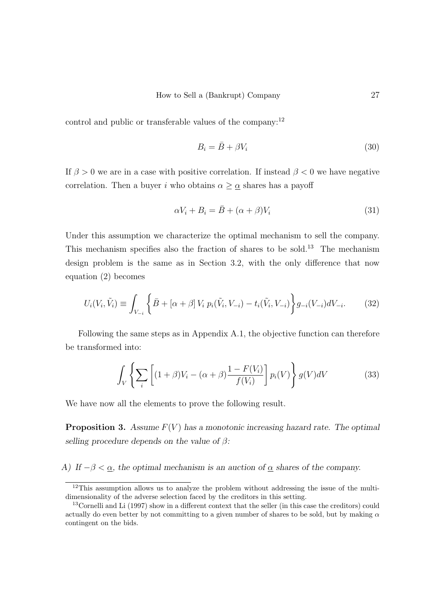control and public or transferable values of the company:<sup>12</sup>

$$
B_i = \bar{B} + \beta V_i \tag{30}
$$

If  $\beta > 0$  we are in a case with positive correlation. If instead  $\beta < 0$  we have negative correlation. Then a buyer i who obtains  $\alpha \geq \alpha$  shares has a payoff

$$
\alpha V_i + B_i = \bar{B} + (\alpha + \beta)V_i \tag{31}
$$

Under this assumption we characterize the optimal mechanism to sell the company. This mechanism specifies also the fraction of shares to be sold.<sup>13</sup> The mechanism design problem is the same as in Section 3.2, with the only difference that now equation (2) becomes

$$
U_i(V_i, \tilde{V}_i) \equiv \int_{V_{-i}} \left\{ \bar{B} + [\alpha + \beta] V_i \ p_i(\tilde{V}_i, V_{-i}) - t_i(\tilde{V}_i, V_{-i}) \right\} g_{-i}(V_{-i}) dV_{-i}.
$$
 (32)

Following the same steps as in Appendix A.1, the objective function can therefore be transformed into:

$$
\int_{V} \left\{ \sum_{i} \left[ (1+\beta)V_{i} - (\alpha+\beta) \frac{1 - F(V_{i})}{f(V_{i})} \right] p_{i}(V) \right\} g(V) dV \tag{33}
$$

We have now all the elements to prove the following result.

**Proposition 3.** Assume  $F(V)$  has a monotonic increasing hazard rate. The optimal selling procedure depends on the value of  $\beta$ :

A) If  $-\beta < \underline{\alpha}$ , the optimal mechanism is an auction of  $\underline{\alpha}$  shares of the company.

 $12$ This assumption allows us to analyze the problem without addressing the issue of the multidimensionality of the adverse selection faced by the creditors in this setting.

<sup>13</sup>Cornelli and Li (1997) show in a different context that the seller (in this case the creditors) could actually do even better by not committing to a given number of shares to be sold, but by making  $\alpha$ contingent on the bids.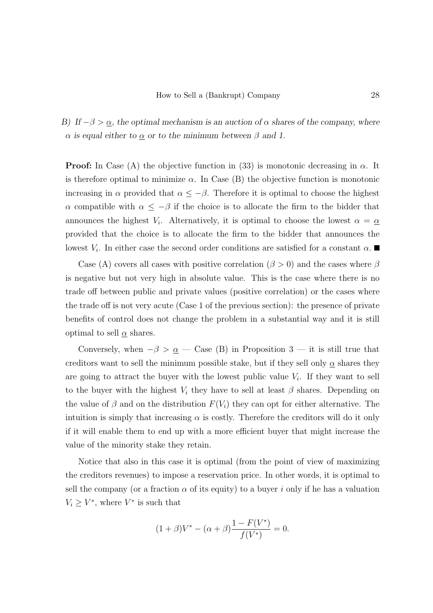B) If  $-\beta > \alpha$ , the optimal mechanism is an auction of  $\alpha$  shares of the company, where α is equal either to  $\alpha$  or to the minimum between  $\beta$  and 1.

**Proof:** In Case (A) the objective function in (33) is monotonic decreasing in  $\alpha$ . It is therefore optimal to minimize  $\alpha$ . In Case (B) the objective function is monotonic increasing in  $\alpha$  provided that  $\alpha \leq -\beta$ . Therefore it is optimal to choose the highest α compatible with  $\alpha \leq -\beta$  if the choice is to allocate the firm to the bidder that announces the highest  $V_i$ . Alternatively, it is optimal to choose the lowest  $\alpha = \underline{\alpha}$ provided that the choice is to allocate the firm to the bidder that announces the lowest  $V_i$ . In either case the second order conditions are satisfied for a constant  $\alpha$ .

Case (A) covers all cases with positive correlation ( $\beta > 0$ ) and the cases where  $\beta$ is negative but not very high in absolute value. This is the case where there is no trade off between public and private values (positive correlation) or the cases where the trade off is not very acute (Case 1 of the previous section): the presence of private benefits of control does not change the problem in a substantial way and it is still optimal to sell  $\alpha$  shares.

Conversely, when  $-\beta > \underline{\alpha}$  — Case (B) in Proposition 3 — it is still true that creditors want to sell the minimum possible stake, but if they sell only  $\alpha$  shares they are going to attract the buyer with the lowest public value  $V_i$ . If they want to sell to the buyer with the highest  $V_i$  they have to sell at least  $\beta$  shares. Depending on the value of  $\beta$  and on the distribution  $F(V_i)$  they can opt for either alternative. The intuition is simply that increasing  $\alpha$  is costly. Therefore the creditors will do it only if it will enable them to end up with a more efficient buyer that might increase the value of the minority stake they retain.

Notice that also in this case it is optimal (from the point of view of maximizing the creditors revenues) to impose a reservation price. In other words, it is optimal to sell the company (or a fraction  $\alpha$  of its equity) to a buyer i only if he has a valuation  $V_i \geq V^*$ , where  $V^*$  is such that

$$
(1 + \beta)V^* - (\alpha + \beta)\frac{1 - F(V^*)}{f(V^*)} = 0.
$$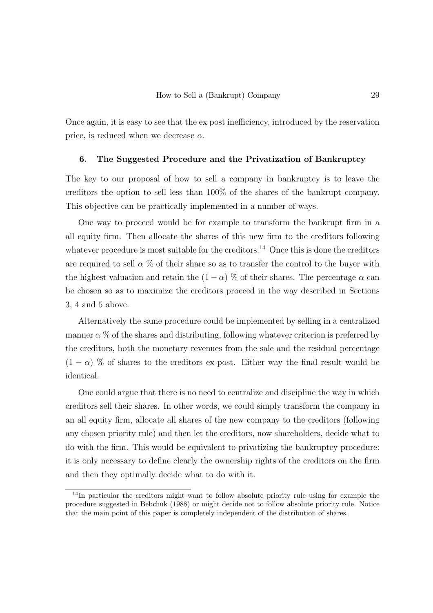Once again, it is easy to see that the ex post inefficiency, introduced by the reservation price, is reduced when we decrease  $\alpha$ .

### 6. The Suggested Procedure and the Privatization of Bankruptcy

The key to our proposal of how to sell a company in bankruptcy is to leave the creditors the option to sell less than 100% of the shares of the bankrupt company. This objective can be practically implemented in a number of ways.

One way to proceed would be for example to transform the bankrupt firm in a all equity firm. Then allocate the shares of this new firm to the creditors following whatever procedure is most suitable for the creditors.<sup>14</sup> Once this is done the creditors are required to sell  $\alpha$  % of their share so as to transfer the control to the buyer with the highest valuation and retain the  $(1 - \alpha)$  % of their shares. The percentage  $\alpha$  can be chosen so as to maximize the creditors proceed in the way described in Sections 3, 4 and 5 above.

Alternatively the same procedure could be implemented by selling in a centralized manner  $\alpha$  % of the shares and distributing, following whatever criterion is preferred by the creditors, both the monetary revenues from the sale and the residual percentage  $(1 - \alpha)$  % of shares to the creditors ex-post. Either way the final result would be identical.

One could argue that there is no need to centralize and discipline the way in which creditors sell their shares. In other words, we could simply transform the company in an all equity firm, allocate all shares of the new company to the creditors (following any chosen priority rule) and then let the creditors, now shareholders, decide what to do with the firm. This would be equivalent to privatizing the bankruptcy procedure: it is only necessary to define clearly the ownership rights of the creditors on the firm and then they optimally decide what to do with it.

<sup>&</sup>lt;sup>14</sup>In particular the creditors might want to follow absolute priority rule using for example the procedure suggested in Bebchuk (1988) or might decide not to follow absolute priority rule. Notice that the main point of this paper is completely independent of the distribution of shares.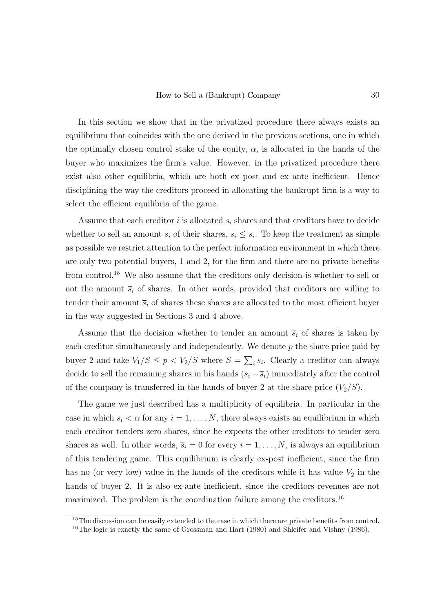In this section we show that in the privatized procedure there always exists an equilibrium that coincides with the one derived in the previous sections, one in which the optimally chosen control stake of the equity,  $\alpha$ , is allocated in the hands of the buyer who maximizes the firm's value. However, in the privatized procedure there exist also other equilibria, which are both ex post and ex ante inefficient. Hence disciplining the way the creditors proceed in allocating the bankrupt firm is a way to select the efficient equilibria of the game.

Assume that each creditor i is allocated  $s_i$  shares and that creditors have to decide whether to sell an amount  $\overline{s}_i$  of their shares,  $\overline{s}_i \leq s_i$ . To keep the treatment as simple as possible we restrict attention to the perfect information environment in which there are only two potential buyers, 1 and 2, for the firm and there are no private benefits from control.<sup>15</sup> We also assume that the creditors only decision is whether to sell or not the amount  $\bar{s}_i$  of shares. In other words, provided that creditors are willing to tender their amount  $\overline{s}_i$  of shares these shares are allocated to the most efficient buyer in the way suggested in Sections 3 and 4 above.

Assume that the decision whether to tender an amount  $\overline{s}_i$  of shares is taken by each creditor simultaneously and independently. We denote  $p$  the share price paid by buyer 2 and take  $V_1/S \leq p < V_2/S$  where  $S = \sum_i s_i$ . Clearly a creditor can always decide to sell the remaining shares in his hands  $(s_i - \overline{s}_i)$  immediately after the control of the company is transferred in the hands of buyer 2 at the share price  $(V_2/S)$ .

The game we just described has a multiplicity of equilibria. In particular in the case in which  $s_i < \underline{\alpha}$  for any  $i = 1, \ldots, N$ , there always exists an equilibrium in which each creditor tenders zero shares, since he expects the other creditors to tender zero shares as well. In other words,  $\overline{s}_i = 0$  for every  $i = 1, ..., N$ , is always an equilibrium of this tendering game. This equilibrium is clearly ex-post inefficient, since the firm has no (or very low) value in the hands of the creditors while it has value  $V_2$  in the hands of buyer 2. It is also ex-ante inefficient, since the creditors revenues are not maximized. The problem is the coordination failure among the creditors.<sup>16</sup>

<sup>&</sup>lt;sup>15</sup>The discussion can be easily extended to the case in which there are private benefits from control. <sup>16</sup>The logic is exactly the same of Grossman and Hart (1980) and Shleifer and Vishny (1986).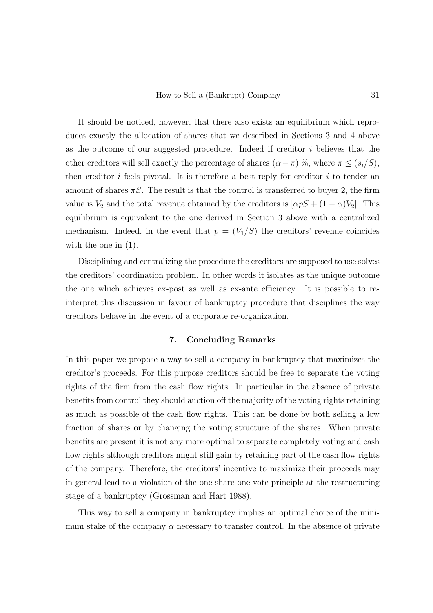It should be noticed, however, that there also exists an equilibrium which reproduces exactly the allocation of shares that we described in Sections 3 and 4 above as the outcome of our suggested procedure. Indeed if creditor i believes that the other creditors will sell exactly the percentage of shares  $(\underline{\alpha}-\pi)$  %, where  $\pi \leq (s_i/S)$ , then creditor i feels pivotal. It is therefore a best reply for creditor i to tender an amount of shares  $\pi S$ . The result is that the control is transferred to buyer 2, the firm value is  $V_2$  and the total revenue obtained by the creditors is  $[\alpha pS + (1 - \alpha)V_2]$ . This equilibrium is equivalent to the one derived in Section 3 above with a centralized mechanism. Indeed, in the event that  $p = (V_1/S)$  the creditors' revenue coincides with the one in (1).

Disciplining and centralizing the procedure the creditors are supposed to use solves the creditors' coordination problem. In other words it isolates as the unique outcome the one which achieves ex-post as well as ex-ante efficiency. It is possible to reinterpret this discussion in favour of bankruptcy procedure that disciplines the way creditors behave in the event of a corporate re-organization.

# 7. Concluding Remarks

In this paper we propose a way to sell a company in bankruptcy that maximizes the creditor's proceeds. For this purpose creditors should be free to separate the voting rights of the firm from the cash flow rights. In particular in the absence of private benefits from control they should auction off the majority of the voting rights retaining as much as possible of the cash flow rights. This can be done by both selling a low fraction of shares or by changing the voting structure of the shares. When private benefits are present it is not any more optimal to separate completely voting and cash flow rights although creditors might still gain by retaining part of the cash flow rights of the company. Therefore, the creditors' incentive to maximize their proceeds may in general lead to a violation of the one-share-one vote principle at the restructuring stage of a bankruptcy (Grossman and Hart 1988).

This way to sell a company in bankruptcy implies an optimal choice of the minimum stake of the company  $\alpha$  necessary to transfer control. In the absence of private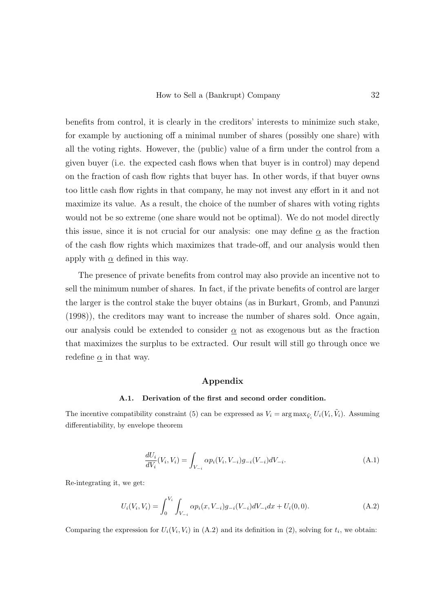benefits from control, it is clearly in the creditors' interests to minimize such stake, for example by auctioning off a minimal number of shares (possibly one share) with all the voting rights. However, the (public) value of a firm under the control from a given buyer (i.e. the expected cash flows when that buyer is in control) may depend on the fraction of cash flow rights that buyer has. In other words, if that buyer owns too little cash flow rights in that company, he may not invest any effort in it and not maximize its value. As a result, the choice of the number of shares with voting rights would not be so extreme (one share would not be optimal). We do not model directly this issue, since it is not crucial for our analysis: one may define  $\alpha$  as the fraction of the cash flow rights which maximizes that trade-off, and our analysis would then apply with  $\alpha$  defined in this way.

The presence of private benefits from control may also provide an incentive not to sell the minimum number of shares. In fact, if the private benefits of control are larger the larger is the control stake the buyer obtains (as in Burkart, Gromb, and Panunzi (1998)), the creditors may want to increase the number of shares sold. Once again, our analysis could be extended to consider  $\alpha$  not as exogenous but as the fraction that maximizes the surplus to be extracted. Our result will still go through once we redefine  $\alpha$  in that way.

# Appendix

#### A.1. Derivation of the first and second order condition.

The incentive compatibility constraint (5) can be expressed as  $V_i = \arg \max_{\tilde{V}_i} U_i(V_i, \tilde{V}_i)$ . Assuming differentiability, by envelope theorem

$$
\frac{dU_i}{dV_i}(V_i, V_i) = \int_{V_{-i}} \alpha p_i(V_i, V_{-i})g_{-i}(V_{-i})dV_{-i}.
$$
\n(A.1)

Re-integrating it, we get:

$$
U_i(V_i, V_i) = \int_0^{V_i} \int_{V_{-i}} \alpha p_i(x, V_{-i}) g_{-i}(V_{-i}) dV_{-i} dx + U_i(0, 0).
$$
 (A.2)

Comparing the expression for  $U_i(V_i, V_i)$  in (A.2) and its definition in (2), solving for  $t_i$ , we obtain: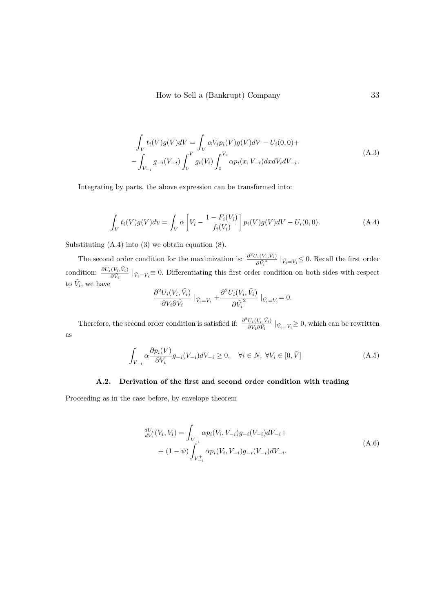$$
\int_{V} t_{i}(V)g(V)dV = \int_{V} \alpha V_{i}p_{i}(V)g(V)dV - U_{i}(0,0) +
$$
\n
$$
-\int_{V_{-i}} g_{-i}(V_{-i}) \int_{0}^{\bar{V}} g_{i}(V_{i}) \int_{0}^{V_{i}} \alpha p_{i}(x, V_{-i}) dxdV_{i}dV_{-i}.
$$
\n(A.3)

Integrating by parts, the above expression can be transformed into:

$$
\int_{V} t_i(V)g(V)dv = \int_{V} \alpha \left[ V_i - \frac{1 - F_i(V_i)}{f_i(V_i)} \right] p_i(V)g(V) dV - U_i(0,0).
$$
\n(A.4)

Substituting  $(A.4)$  into  $(3)$  we obtain equation  $(8)$ .

The second order condition for the maximization is:  $\frac{\partial^2 U_i(V_i, \tilde{V}_i)}{\partial \tilde{V}_i^2}$  $\frac{V_i(V_i, V_i)}{\partial \tilde{V}_i^2}$   $|_{\tilde{V}_i = V_i} \leq 0$ . Recall the first order condition:  $\frac{\partial U_i(V_i, \tilde{V}_i)}{\partial \tilde{V}_i}$   $|_{\tilde{V}_i=V_i} \equiv 0$ . Differentiating this first order condition on both sides with respect to  $\tilde{V}_i$ , we have

$$
\frac{\partial^2 U_i(V_i, \tilde{V}_i)}{\partial V_i \partial \tilde{V}_i} |_{\tilde{V}_i = V_i} + \frac{\partial^2 U_i(V_i, \tilde{V}_i)}{\partial \tilde{V}_i^2} |_{\tilde{V}_i = V_i} = 0.
$$

Therefore, the second order condition is satisfied if:  $\frac{\partial^2 U_i(V_i, \tilde{V}_i)}{\partial V_i \partial V_i}$  $\frac{U_i(V_i,V_i)}{\partial V_i \partial \tilde{V}_i}$   $|_{\tilde{V}_i=V_i} \geq 0$ , which can be rewritten as

$$
\int_{V_{-i}} \alpha \frac{\partial p_i(V)}{\partial V_i} g_{-i}(V_{-i}) dV_{-i} \ge 0, \quad \forall i \in N, \ \forall V_i \in [0, \bar{V}]
$$
\n(A.5)

### A.2. Derivation of the first and second order condition with trading

Proceeding as in the case before, by envelope theorem

$$
\frac{dU_i}{dV_i}(V_i, V_i) = \int_{V_{-i}^-} \alpha p_i(V_i, V_{-i})g_{-i}(V_{-i})dV_{-i} + (1 - \psi) \int_{V_{-i}^+} \alpha p_i(V_i, V_{-i})g_{-i}(V_{-i})dV_{-i}.
$$
\n(A.6)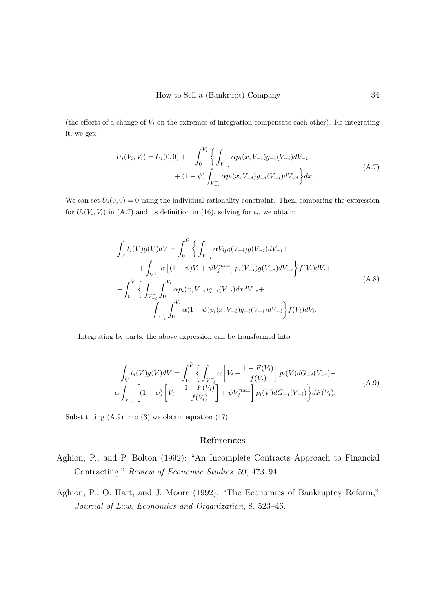(the effects of a change of  $V_i$  on the extremes of integration compensate each other). Re-integrating it, we get:

$$
U_i(V_i, V_i) = U_i(0, 0) + \int_0^{V_i} \left\{ \int_{V_{-i}^-} \alpha p_i(x, V_{-i}) g_{-i}(V_{-i}) dV_{-i} + (1 - \psi) \int_{V_{-i}^+} \alpha p_i(x, V_{-i}) g_{-i}(V_{-i}) dV_{-i} \right\} dx.
$$
\n(A.7)

We can set  $U_i(0,0) = 0$  using the individual rationality constraint. Then, comparing the expression for  $U_i(V_i, V_i)$  in (A.7) and its definition in (16), solving for  $t_i$ , we obtain:

$$
\int_{V} t_{i}(V)g(V)dV = \int_{0}^{\bar{V}} \left\{ \int_{V_{-i}^{-}} \alpha V_{i}p_{i}(V_{-i})g(V_{-i})dV_{-i} + \int_{V_{-i}^{+}} \alpha \left[ (1-\psi)V_{i} + \psi V_{j}^{max} \right] p_{i}(V_{-i})g(V_{-i})dV_{-i} \right\} f(V_{i})dV_{i} + \left. - \int_{0}^{\bar{V}} \left\{ \int_{V_{-i}^{-}} \int_{0}^{V_{i}} \alpha p_{i}(x,V_{-i})g_{-i}(V_{-i})dxdV_{-i} + \left. - \int_{V_{-i}^{+}} \int_{0}^{V_{i}} \alpha (1-\psi)p_{i}(x,V_{-i})g_{-i}(V_{-i})dV_{-i} \right\} f(V_{i})dV_{i}.
$$
\n(A.8)

Integrating by parts, the above expression can be transformed into:

$$
\int_{V} t_{i}(V)g(V)dV = \int_{0}^{\bar{V}} \left\{ \int_{V_{-i}^{-}} \alpha \left[ V_{i} - \frac{1 - F(V_{i})}{f(V_{i})} \right] p_{i}(V)dG_{-i}(V_{-i}) + \alpha \int_{V_{-i}^{+}} \left[ (1 - \psi) \left[ V_{i} - \frac{1 - F(V_{i})}{f(V_{i})} \right] + \psi V_{j}^{max} \right] p_{i}(V)dG_{-i}(V_{-i}) \right\} dF(V_{i}).
$$
\n(A.9)

Substituting (A.9) into (3) we obtain equation (17).

### References

- Aghion, P., and P. Bolton (1992): "An Incomplete Contracts Approach to Financial Contracting," Review of Economic Studies, 59, 473–94.
- Aghion, P., O. Hart, and J. Moore (1992): "The Economics of Bankruptcy Reform," Journal of Law, Economics and Organization, 8, 523–46.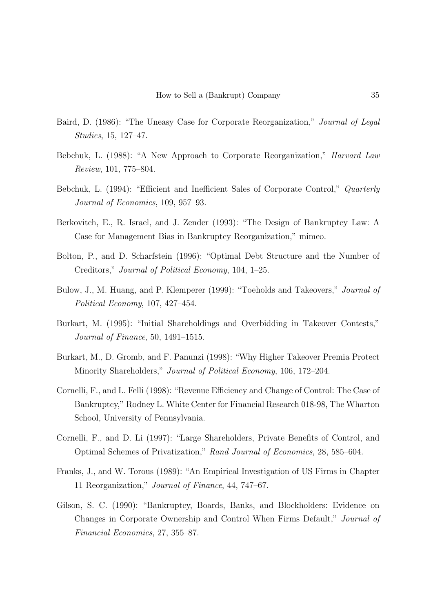- Baird, D. (1986): "The Uneasy Case for Corporate Reorganization," Journal of Legal Studies, 15, 127–47.
- Bebchuk, L. (1988): "A New Approach to Corporate Reorganization," Harvard Law Review, 101, 775–804.
- Bebchuk, L. (1994): "Efficient and Inefficient Sales of Corporate Control," Quarterly Journal of Economics, 109, 957–93.
- Berkovitch, E., R. Israel, and J. Zender (1993): "The Design of Bankruptcy Law: A Case for Management Bias in Bankruptcy Reorganization," mimeo.
- Bolton, P., and D. Scharfstein (1996): "Optimal Debt Structure and the Number of Creditors," Journal of Political Economy, 104, 1–25.
- Bulow, J., M. Huang, and P. Klemperer (1999): "Toeholds and Takeovers," Journal of Political Economy, 107, 427–454.
- Burkart, M. (1995): "Initial Shareholdings and Overbidding in Takeover Contests," Journal of Finance, 50, 1491–1515.
- Burkart, M., D. Gromb, and F. Panunzi (1998): "Why Higher Takeover Premia Protect Minority Shareholders," Journal of Political Economy, 106, 172–204.
- Cornelli, F., and L. Felli (1998): "Revenue Efficiency and Change of Control: The Case of Bankruptcy," Rodney L. White Center for Financial Research 018-98, The Wharton School, University of Pennsylvania.
- Cornelli, F., and D. Li (1997): "Large Shareholders, Private Benefits of Control, and Optimal Schemes of Privatization," Rand Journal of Economics, 28, 585–604.
- Franks, J., and W. Torous (1989): "An Empirical Investigation of US Firms in Chapter 11 Reorganization," Journal of Finance, 44, 747–67.
- Gilson, S. C. (1990): "Bankruptcy, Boards, Banks, and Blockholders: Evidence on Changes in Corporate Ownership and Control When Firms Default," Journal of Financial Economics, 27, 355–87.